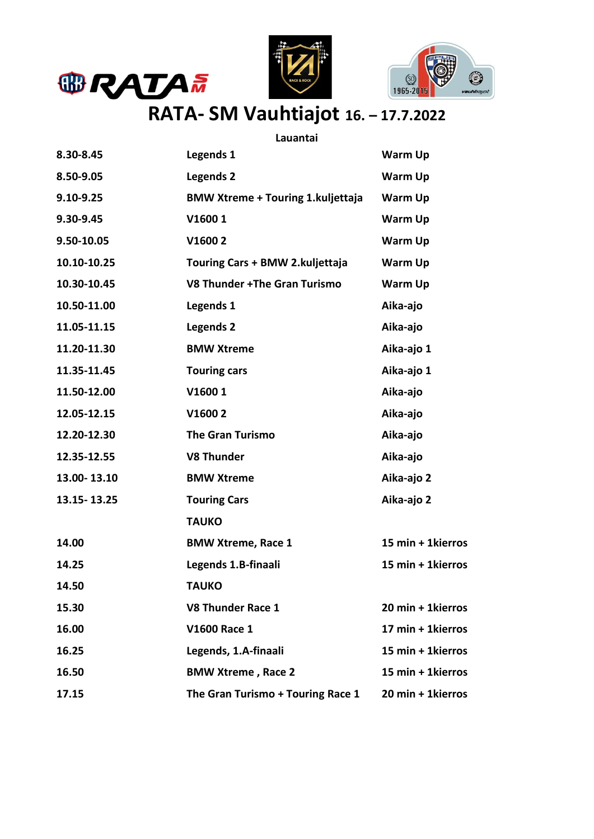





## **RATA- SM Vauhtiajot 16. – 17.7.2022**

## **Lauantai**

| 8.30-8.45     | Legends 1                                 | <b>Warm Up</b>    |
|---------------|-------------------------------------------|-------------------|
| 8.50-9.05     | <b>Legends 2</b>                          | Warm Up           |
| 9.10-9.25     | <b>BMW Xtreme + Touring 1. kuljettaja</b> | <b>Warm Up</b>    |
| 9.30-9.45     | V16001                                    | Warm Up           |
| 9.50-10.05    | V16002                                    | Warm Up           |
| 10.10-10.25   | Touring Cars + BMW 2.kuljettaja           | Warm Up           |
| 10.30-10.45   | V8 Thunder +The Gran Turismo              | Warm Up           |
| 10.50-11.00   | Legends 1                                 | Aika-ajo          |
| 11.05-11.15   | Legends 2                                 | Aika-ajo          |
| 11.20-11.30   | <b>BMW Xtreme</b>                         | Aika-ajo 1        |
| 11.35-11.45   | <b>Touring cars</b>                       | Aika-ajo 1        |
| 11.50-12.00   | V16001                                    | Aika-ajo          |
| 12.05-12.15   | V16002                                    | Aika-ajo          |
| 12.20-12.30   | <b>The Gran Turismo</b>                   | Aika-ajo          |
| 12.35-12.55   | <b>V8 Thunder</b>                         | Aika-ajo          |
| 13.00-13.10   | <b>BMW Xtreme</b>                         | Aika-ajo 2        |
| 13.15 - 13.25 | <b>Touring Cars</b>                       | Aika-ajo 2        |
|               | <b>TAUKO</b>                              |                   |
| 14.00         | <b>BMW Xtreme, Race 1</b>                 | 15 min + 1kierros |
| 14.25         | Legends 1.B-finaali                       | 15 min + 1kierros |
| 14.50         | <b>TAUKO</b>                              |                   |
| 15.30         | <b>V8 Thunder Race 1</b>                  | 20 min + 1kierros |
| 16.00         | V1600 Race 1                              | 17 min + 1kierros |
| 16.25         | Legends, 1.A-finaali                      | 15 min + 1kierros |
| 16.50         | <b>BMW Xtreme, Race 2</b>                 | 15 min + 1kierros |
| 17.15         | The Gran Turismo + Touring Race 1         | 20 min + 1kierros |